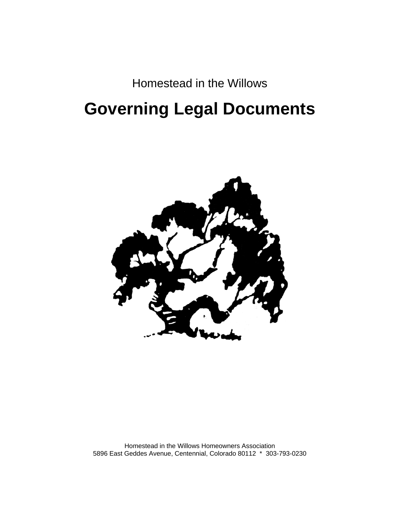### Homestead in the Willows

# **Governing Legal Documents**



Homestead in the Willows Homeowners Association 5896 East Geddes Avenue, Centennial, Colorado 80112 \* 303-793-0230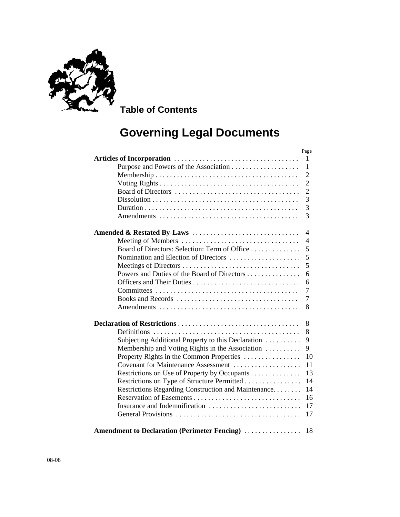

 **Table of Contents** 

## **Governing Legal Documents**

|                                                                                                   | Page           |
|---------------------------------------------------------------------------------------------------|----------------|
|                                                                                                   | 1              |
|                                                                                                   | $\mathbf{1}$   |
|                                                                                                   | $\overline{2}$ |
|                                                                                                   | $\overline{2}$ |
|                                                                                                   | $\overline{2}$ |
| $Dissolution \ldots \ldots \ldots \ldots \ldots \ldots \ldots \ldots \ldots \ldots \ldots \ldots$ | 3              |
|                                                                                                   | 3              |
|                                                                                                   | 3              |
|                                                                                                   | 4              |
| Meeting of Members                                                                                | 4              |
| Board of Directors: Selection: Term of Office                                                     | 5              |
| Nomination and Election of Directors                                                              | 5              |
|                                                                                                   | 5              |
| Powers and Duties of the Board of Directors                                                       | 6              |
|                                                                                                   | 6              |
|                                                                                                   | 7              |
|                                                                                                   | $\tau$         |
|                                                                                                   | 8              |
|                                                                                                   | 8              |
|                                                                                                   | 8              |
| Subjecting Additional Property to this Declaration                                                | 9              |
| Membership and Voting Rights in the Association                                                   | 9              |
| Property Rights in the Common Properties                                                          | 10             |
| Covenant for Maintenance Assessment                                                               | 11             |
| Restrictions on Use of Property by Occupants                                                      | 13             |
| Restrictions on Type of Structure Permitted                                                       | 14             |
| Restrictions Regarding Construction and Maintenance                                               | 14             |
|                                                                                                   | 16             |
| Insurance and Indemnification                                                                     | 17             |
|                                                                                                   | 17             |
|                                                                                                   |                |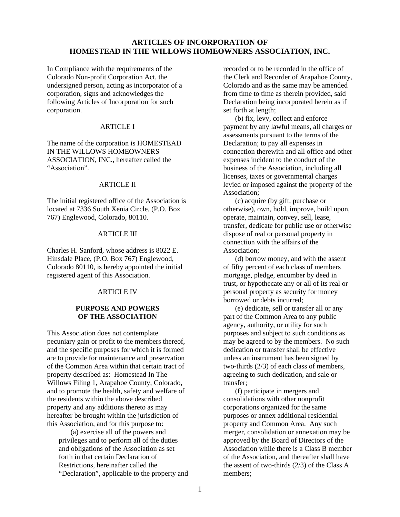#### **ARTICLES OF INCORPORATION OF HOMESTEAD IN THE WILLOWS HOMEOWNERS ASSOCIATION, INC.**

In Compliance with the requirements of the Colorado Non-profit Corporation Act, the undersigned person, acting as incorporator of a corporation, signs and acknowledges the following Articles of Incorporation for such corporation.

#### ARTICLE I

The name of the corporation is HOMESTEAD IN THE WILLOWS HOMEOWNERS ASSOCIATION, INC., hereafter called the "Association".

#### ARTICLE II

The initial registered office of the Association is located at 7336 South Xenia Circle, (P.O. Box 767) Englewood, Colorado, 80110.

#### ARTICLE III

Charles H. Sanford, whose address is 8022 E. Hinsdale Place, (P.O. Box 767) Englewood, Colorado 80110, is hereby appointed the initial registered agent of this Association.

#### ARTICLE IV

#### **PURPOSE AND POWERS OF THE ASSOCIATION**

This Association does not contemplate pecuniary gain or profit to the members thereof, and the specific purposes for which it is formed are to provide for maintenance and preservation of the Common Area within that certain tract of property described as: Homestead In The Willows Filing 1, Arapahoe County, Colorado, and to promote the health, safety and welfare of the residents within the above described property and any additions thereto as may hereafter be brought within the jurisdiction of this Association, and for this purpose to:

 (a) exercise all of the powers and privileges and to perform all of the duties and obligations of the Association as set forth in that certain Declaration of Restrictions, hereinafter called the "Declaration", applicable to the property and recorded or to be recorded in the office of the Clerk and Recorder of Arapahoe County, Colorado and as the same may be amended from time to time as therein provided, said Declaration being incorporated herein as if set forth at length;

(b) fix, levy, collect and enforce payment by any lawful means, all charges or assessments pursuant to the terms of the Declaration; to pay all expenses in connection therewith and all office and other expenses incident to the conduct of the business of the Association, including all licenses, taxes or governmental charges levied or imposed against the property of the Association;

(c) acquire (by gift, purchase or otherwise), own, hold, improve, build upon, operate, maintain, convey, sell, lease, transfer, dedicate for public use or otherwise dispose of real or personal property in connection with the affairs of the Association;

(d) borrow money, and with the assent of fifty percent of each class of members mortgage, pledge, encumber by deed in trust, or hypothecate any or all of its real or personal property as security for money borrowed or debts incurred;

(e) dedicate, sell or transfer all or any part of the Common Area to any public agency, authority, or utility for such purposes and subject to such conditions as may be agreed to by the members. No such dedication or transfer shall be effective unless an instrument has been signed by two-thirds (2/3) of each class of members, agreeing to such dedication, and sale or transfer;

(f) participate in mergers and consolidations with other nonprofit corporations organized for the same purposes or annex additional residential property and Common Area. Any such merger, consolidation or annexation may be approved by the Board of Directors of the Association while there is a Class B member of the Association, and thereafter shall have the assent of two-thirds (2/3) of the Class A members;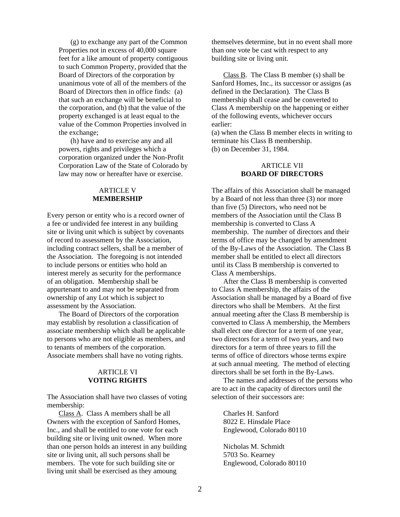(g) to exchange any part of the Common Properties not in excess of 40,000 square feet for a like amount of property contiguous to such Common Property, provided that the Board of Directors of the corporation by unanimous vote of all of the members of the Board of Directors then in office finds: (a) that such an exchange will be beneficial to the corporation, and (b) that the value of the property exchanged is at least equal to the value of the Common Properties involved in the exchange;

(h) have and to exercise any and all powers, rights and privileges which a corporation organized under the Non-Profit Corporation Law of the State of Colorado by law may now or hereafter have or exercise.

#### ARTICLE V **MEMBERSHIP**

Every person or entity who is a record owner of a fee or undivided fee interest in any building site or living unit which is subject by covenants of record to assessment by the Association, including contract sellers, shall be a member of the Association. The foregoing is not intended to include persons or entities who hold an interest merely as security for the performance of an obligation. Membership shall be appurtenant to and may not be separated from ownership of any Lot which is subject to assessment by the Association.

 The Board of Directors of the corporation may establish by resolution a classification of associate membership which shall be applicable to persons who are not eligible as members, and to tenants of members of the corporation. Associate members shall have no voting rights.

#### ARTICLE VI **VOTING RIGHTS**

The Association shall have two classes of voting membership:

Class A. Class A members shall be all Owners with the exception of Sanford Homes, Inc., and shall be entitled to one vote for each building site or living unit owned. When more than one person holds an interest in any building site or living unit, all such persons shall be members. The vote for such building site or living unit shall be exercised as they amoung

themselves determine, but in no event shall more than one vote be cast with respect to any building site or living unit.

Class B. The Class B member (s) shall be Sanford Homes, Inc., its successor or assigns (as defined in the Declaration). The Class B membership shall cease and be converted to Class A membership on the happening or either of the following events, whichever occurs earlier:

(a) when the Class B member elects in writing to terminate his Class B membership. (b) on December 31, 1984.

#### ARTICLE VII **BOARD OF DIRECTORS**

The affairs of this Association shall be managed by a Board of not less than three (3) nor more than five (5) Directors, who need not be members of the Association until the Class B membership is converted to Class A membership. The number of directors and their terms of office may be changed by amendment of the By-Laws of the Association. The Class B member shall be entitled to elect all directors until its Class B membership is converted to Class A memberships.

 After the Class B membership is converted to Class A membership, the affairs of the Association shall be managed by a Board of five directors who shall be Members. At the first annual meeting after the Class B membership is converted to Class A membership, the Members shall elect one director for a term of one year, two directors for a term of two years, and two directors for a term of three years to fill the terms of office of directors whose terms expire at such annual meeting. The method of electing directors shall be set forth in the By-Laws.

 The names and addresses of the persons who are to act in the capacity of directors until the selection of their successors are:

 Charles H. Sanford 8022 E. Hinsdale Place Englewood, Colorado 80110

 Nicholas M. Schmidt 5703 So. Kearney Englewood, Colorado 80110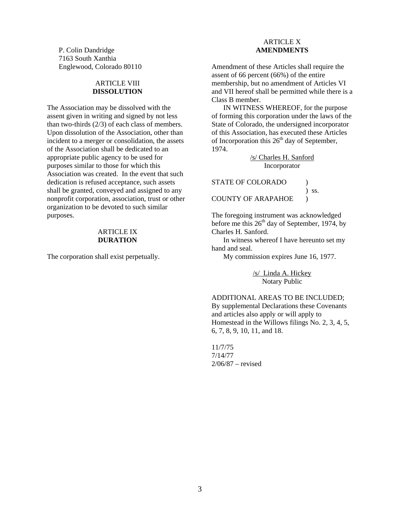P. Colin Dandridge 7163 South Xanthia Englewood, Colorado 80110

#### ARTICLE VIII **DISSOLUTION**

The Association may be dissolved with the assent given in writing and signed by not less than two-thirds (2/3) of each class of members. Upon dissolution of the Association, other than incident to a merger or consolidation, the assets of the Association shall be dedicated to an appropriate public agency to be used for purposes similar to those for which this Association was created. In the event that such dedication is refused acceptance, such assets shall be granted, conveyed and assigned to any nonprofit corporation, association, trust or other organization to be devoted to such similar purposes.

#### ARTICLE IX **DURATION**

The corporation shall exist perpetually.

### ARTICLE X **AMENDMENTS**

Amendment of these Articles shall require the assent of 66 percent (66%) of the entire membership, but no amendment of Articles VI and VII hereof shall be permitted while there is a Class B member.

 IN WITNESS WHEREOF, for the purpose of forming this corporation under the laws of the State of Colorado, the undersigned incorporator of this Association, has executed these Articles of Incorporation this  $26<sup>th</sup>$  day of September, 1974.

> /s/ Charles H. Sanford Incorporator

STATE OF COLORADO )

COUNTY OF ARAPAHOE )

) ss.

The foregoing instrument was acknowledged before me this  $26<sup>th</sup>$  day of September, 1974, by Charles H. Sanford.

 In witness whereof I have hereunto set my hand and seal.

My commission expires June 16, 1977.

/s/ Linda A. Hickey Notary Public

ADDITIONAL AREAS TO BE INCLUDED; By supplemental Declarations these Covenants and articles also apply or will apply to Homestead in the Willows filings No. 2, 3, 4, 5, 6, 7, 8, 9, 10, 11, and 18.

11/7/75 7/14/77 2/06/87 – revised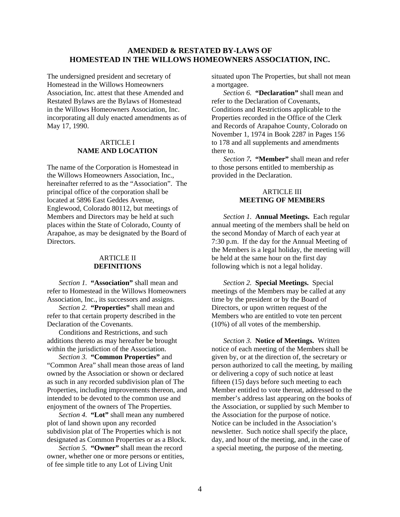#### **AMENDED & RESTATED BY-LAWS OF HOMESTEAD IN THE WILLOWS HOMEOWNERS ASSOCIATION, INC.**

The undersigned president and secretary of Homestead in the Willows Homeowners Association, Inc. attest that these Amended and Restated Bylaws are the Bylaws of Homestead in the Willows Homeowners Association, Inc. incorporating all duly enacted amendments as of May 17, 1990.

#### ARTICLE I **NAME AND LOCATION**

The name of the Corporation is Homestead in the Willows Homeowners Association, Inc., hereinafter referred to as the "Association". The principal office of the corporation shall be located at 5896 East Geddes Avenue, Englewood, Colorado 80112, but meetings of Members and Directors may be held at such places within the State of Colorado, County of Arapahoe, as may be designated by the Board of Directors.

#### ARTICLE II **DEFINITIONS**

*Section 1.* **"Association"** shall mean and refer to Homestead in the Willows Homeowners Association, Inc., its successors and assigns.

*Section 2.* **"Properties"** shall mean and refer to that certain property described in the Declaration of the Covenants.

 Conditions and Restrictions, and such additions thereto as may hereafter be brought within the jurisdiction of the Association.

*Section 3.* **"Common Properties"** and "Common Area" shall mean those areas of land owned by the Association or shown or declared as such in any recorded subdivision plan of The Properties, including improvements thereon, and intended to be devoted to the common use and enjoyment of the owners of The Properties.

*Section 4.* **"Lot"** shall mean any numbered plot of land shown upon any recorded subdivision plat of The Properties which is not designated as Common Properties or as a Block.

*Section 5.* **"Owner"** shall mean the record owner, whether one or more persons or entities, of fee simple title to any Lot of Living Unit

situated upon The Properties, but shall not mean a mortgagee.

*Section 6.* **"Declaration"** shall mean and refer to the Declaration of Covenants, Conditions and Restrictions applicable to the Properties recorded in the Office of the Clerk and Records of Arapahoe County, Colorado on November 1, 1974 in Book 2287 in Pages 156 to 178 and all supplements and amendments there to.

*Section 7.* **"Member"** shall mean and refer to those persons entitled to membership as provided in the Declaration.

#### ARTICLE III **MEETING OF MEMBERS**

 *Section 1.* **Annual Meetings.** Each regular annual meeting of the members shall be held on the second Monday of March of each year at 7:30 p.m. If the day for the Annual Meeting of the Members is a legal holiday, the meeting will be held at the same hour on the first day following which is not a legal holiday.

*Section 2.* **Special Meetings.** Special meetings of the Members may be called at any time by the president or by the Board of Directors, or upon written request of the Members who are entitled to vote ten percent (10%) of all votes of the membership.

*Section 3.* **Notice of Meetings.** Written notice of each meeting of the Members shall be given by, or at the direction of, the secretary or person authorized to call the meeting, by mailing or delivering a copy of such notice at least fifteen (15) days before such meeting to each Member entitled to vote thereat, addressed to the member's address last appearing on the books of the Association, or supplied by such Member to the Association for the purpose of notice. Notice can be included in the Association's newsletter. Such notice shall specify the place, day, and hour of the meeting, and, in the case of a special meeting, the purpose of the meeting.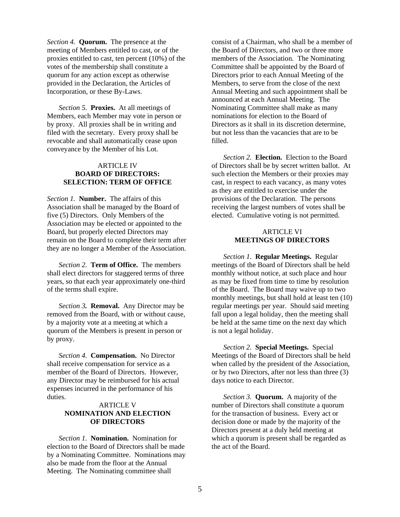*Section 4.* **Quorum.** The presence at the meeting of Members entitled to cast, or of the proxies entitled to cast, ten percent (10%) of the votes of the membership shall constitute a quorum for any action except as otherwise provided in the Declaration, the Articles of Incorporation, or these By-Laws.

*Section 5.* **Proxies.** At all meetings of Members, each Member may vote in person or by proxy. All proxies shall be in writing and filed with the secretary. Every proxy shall be revocable and shall automatically cease upon conveyance by the Member of his Lot.

#### ARTICLE IV **BOARD OF DIRECTORS: SELECTION: TERM OF OFFICE**

*Section 1.* **Number.** The affairs of this Association shall be managed by the Board of five (5) Directors. Only Members of the Association may be elected or appointed to the Board, but properly elected Directors may remain on the Board to complete their term after they are no longer a Member of the Association.

*Section 2.* **Term of Office.** The members shall elect directors for staggered terms of three years, so that each year approximately one-third of the terms shall expire.

*Section 3.* **Removal.** Any Director may be removed from the Board, with or without cause, by a majority vote at a meeting at which a quorum of the Members is present in person or by proxy.

*Section 4.* **Compensation.** No Director shall receive compensation for service as a member of the Board of Directors. However, any Director may be reimbursed for his actual expenses incurred in the performance of his duties.

#### ARTICLE V **NOMINATION AND ELECTION OF DIRECTORS**

*Section 1.* **Nomination.** Nomination for election to the Board of Directors shall be made by a Nominating Committee. Nominations may also be made from the floor at the Annual Meeting. The Nominating committee shall

consist of a Chairman, who shall be a member of the Board of Directors, and two or three more members of the Association. The Nominating Committee shall be appointed by the Board of Directors prior to each Annual Meeting of the Members, to serve from the close of the next Annual Meeting and such appointment shall be announced at each Annual Meeting. The Nominating Committee shall make as many nominations for election to the Board of Directors as it shall in its discretion determine, but not less than the vacancies that are to be filled.

*Section 2.* **Election.** Election to the Board of Directors shall be by secret written ballot. At such election the Members or their proxies may cast, in respect to each vacancy, as many votes as they are entitled to exercise under the provisions of the Declaration. The persons receiving the largest numbers of votes shall be elected. Cumulative voting is not permitted.

#### ARTICLE VI **MEETINGS OF DIRECTORS**

*Section 1.* **Regular Meetings.** Regular meetings of the Board of Directors shall be held monthly without notice, at such place and hour as may be fixed from time to time by resolution of the Board. The Board may waive up to two monthly meetings, but shall hold at least ten (10) regular meetings per year. Should said meeting fall upon a legal holiday, then the meeting shall be held at the same time on the next day which is not a legal holiday.

*Section 2.* **Special Meetings.** Special Meetings of the Board of Directors shall be held when called by the president of the Association, or by two Directors, after not less than three (3) days notice to each Director.

*Section 3.* **Quorum.** A majority of the number of Directors shall constitute a quorum for the transaction of business. Every act or decision done or made by the majority of the Directors present at a duly held meeting at which a quorum is present shall be regarded as the act of the Board.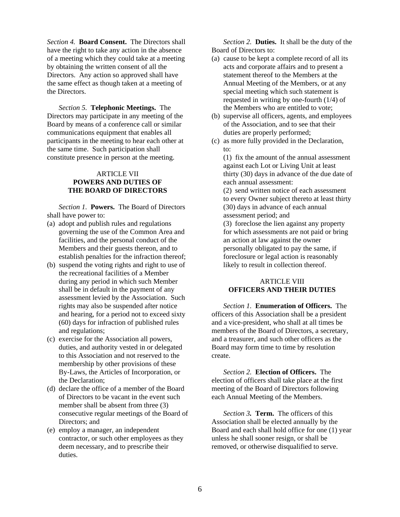*Section 4.* **Board Consent.** The Directors shall have the right to take any action in the absence of a meeting which they could take at a meeting by obtaining the written consent of all the Directors. Any action so approved shall have the same effect as though taken at a meeting of the Directors.

*Section 5.* **Telephonic Meetings.** The Directors may participate in any meeting of the Board by means of a conference call or similar communications equipment that enables all participants in the meeting to hear each other at the same time. Such participation shall constitute presence in person at the meeting.

#### ARTICLE VII **POWERS AND DUTIES OF THE BOARD OF DIRECTORS**

*Section 1.* **Powers.** The Board of Directors shall have power to:

- (a) adopt and publish rules and regulations governing the use of the Common Area and facilities, and the personal conduct of the Members and their guests thereon, and to establish penalties for the infraction thereof;
- (b) suspend the voting rights and right to use of the recreational facilities of a Member during any period in which such Member shall be in default in the payment of any assessment levied by the Association. Such rights may also be suspended after notice and hearing, for a period not to exceed sixty (60) days for infraction of published rules and regulations;
- (c) exercise for the Association all powers, duties, and authority vested in or delegated to this Association and not reserved to the membership by other provisions of these By-Laws, the Articles of Incorporation, or the Declaration;
- (d) declare the office of a member of the Board of Directors to be vacant in the event such member shall be absent from three (3) consecutive regular meetings of the Board of Directors; and
- (e) employ a manager, an independent contractor, or such other employees as they deem necessary, and to prescribe their duties.

 *Section 2.* **Duties.** It shall be the duty of the Board of Directors to:

- (a) cause to be kept a complete record of all its acts and corporate affairs and to present a statement thereof to the Members at the Annual Meeting of the Members, or at any special meeting which such statement is requested in writing by one-fourth (1/4) of the Members who are entitled to vote;
- (b) supervise all officers, agents, and employees of the Association, and to see that their duties are properly performed;
- (c) as more fully provided in the Declaration, to:

(1) fix the amount of the annual assessment against each Lot or Living Unit at least thirty (30) days in advance of the due date of each annual assessment:

(2) send written notice of each assessment to every Owner subject thereto at least thirty (30) days in advance of each annual assessment period; and

(3) foreclose the lien against any property for which assessments are not paid or bring an action at law against the owner personally obligated to pay the same, if foreclosure or legal action is reasonably likely to result in collection thereof.

#### ARTICLE VIII **OFFICERS AND THEIR DUTIES**

*Section 1.* **Enumeration of Officers.** The officers of this Association shall be a president and a vice-president, who shall at all times be members of the Board of Directors, a secretary, and a treasurer, and such other officers as the Board may form time to time by resolution create.

*Section 2.* **Election of Officers.** The election of officers shall take place at the first meeting of the Board of Directors following each Annual Meeting of the Members.

*Section 3.* **Term.** The officers of this Association shall be elected annually by the Board and each shall hold office for one (1) year unless he shall sooner resign, or shall be removed, or otherwise disqualified to serve.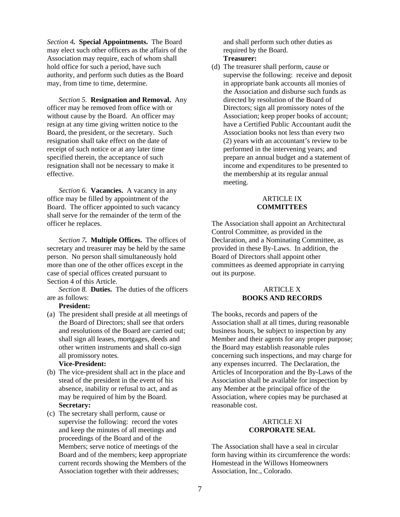*Section 4.* **Special Appointments.** The Board may elect such other officers as the affairs of the Association may require, each of whom shall hold office for such a period, have such authority, and perform such duties as the Board may, from time to time, determine.

*Section 5.* **Resignation and Removal.** Any officer may be removed from office with or without cause by the Board. An officer may resign at any time giving written notice to the Board, the president, or the secretary. Such resignation shall take effect on the date of receipt of such notice or at any later time specified therein, the acceptance of such resignation shall not be necessary to make it effective.

*Section 6.* **Vacancies.** A vacancy in any office may be filled by appointment of the Board. The officer appointed to such vacancy shall serve for the remainder of the term of the officer he replaces.

*Section 7.* **Multiple Offices.** The offices of secretary and treasurer may be held by the same person. No person shall simultaneously hold more than one of the other offices except in the case of special offices created pursuant to Section 4 of this Article.

*Section 8.* **Duties.** The duties of the officers are as follows:

#### **President:**

(a) The president shall preside at all meetings of the Board of Directors; shall see that orders and resolutions of the Board are carried out; shall sign all leases, mortgages, deeds and other written instruments and shall co-sign all promissory notes.

#### **Vice-President:**

- (b) The vice-president shall act in the place and stead of the president in the event of his absence, inability or refusal to act, and as may be required of him by the Board. **Secretary:**
- (c) The secretary shall perform, cause or supervise the following: record the votes and keep the minutes of all meetings and proceedings of the Board and of the Members; serve notice of meetings of the Board and of the members; keep appropriate current records showing the Members of the Association together with their addresses;

and shall perform such other duties as required by the Board. **Treasurer:** 

(d) The treasurer shall perform, cause or supervise the following: receive and deposit in appropriate bank accounts all monies of the Association and disburse such funds as directed by resolution of the Board of Directors; sign all promissory notes of the Association; keep proper books of account; have a Certified Public Accountant audit the Association books not less than every two (2) years with an accountant's review to be performed in the intervening years; and prepare an annual budget and a statement of income and expenditures to be presented to the membership at its regular annual meeting.

#### ARTICLE IX **COMMITTEES**

The Association shall appoint an Architectural Control Committee, as provided in the Declaration, and a Nominating Committee, as provided in these By-Laws. In addition, the Board of Directors shall appoint other committees as deemed appropriate in carrying out its purpose.

#### ARTICLE X **BOOKS AND RECORDS**

The books, records and papers of the Association shall at all times, during reasonable business hours, be subject to inspection by any Member and their agents for any proper purpose; the Board may establish reasonable rules concerning such inspections, and may charge for any expenses incurred. The Declaration, the Articles of Incorporation and the By-Laws of the Association shall be available for inspection by any Member at the principal office of the Association, where copies may be purchased at reasonable cost.

#### ARTICLE XI **CORPORATE SEAL**

The Association shall have a seal in circular form having within its circumference the words: Homestead in the Willows Homeowners Association, Inc., Colorado.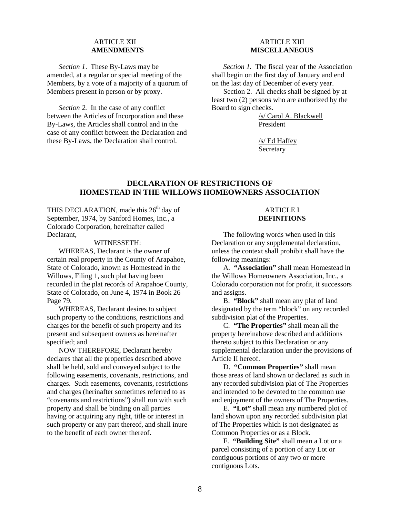#### **ARTICLE XII AMENDMENTS**

*Section 1*. These By-Laws may be amended, at a regular or special meeting of the Members, by a vote of a majority of a quorum of Members present in person or by proxy.

*Section 2.* In the case of any conflict between the Articles of Incorporation and these By-Laws, the Articles shall control and in the case of any conflict between the Declaration and these By-Laws, the Declaration shall control.

#### **ARTICLE XIII MISCELLANEOUS**

*Section 1.* The fiscal year of the Association shall begin on the first day of January and end on the last day of December of every year.

Section 2. All checks shall be signed by at least two (2) persons who are authorized by the Board to sign checks.

> /s/ Carol A. Blackwell President

/s/ Ed Haffey **Secretary** 

#### **DECLARATION OF RESTRICTIONS OF HOMESTEAD IN THE WILLOWS HOMEOWNERS ASSOCIATION**

THIS DECLARATION, made this  $26<sup>th</sup>$  day of September, 1974, by Sanford Homes, Inc., a Colorado Corporation, hereinafter called Declarant,

#### WITNESSETH:

WHEREAS, Declarant is the owner of certain real property in the County of Arapahoe, State of Colorado, known as Homestead in the Willows, Filing 1, such plat having been recorded in the plat records of Arapahoe County, State of Colorado, on June 4, 1974 in Book 26 Page 79.

WHEREAS, Declarant desires to subject such property to the conditions, restrictions and charges for the benefit of such property and its present and subsequent owners as hereinafter specified; and

NOW THEREFORE, Declarant hereby declares that all the properties described above shall be held, sold and conveyed subject to the following easements, covenants, restrictions, and charges. Such easements, covenants, restrictions and charges (herinafter sometimes referred to as "covenants and restrictions") shall run with such property and shall be binding on all parties having or acquiring any right, title or interest in such property or any part thereof, and shall inure to the benefit of each owner thereof.

#### ARTICLE I **DEFINITIONS**

 The following words when used in this Declaration or any supplemental declaration, unless the context shall prohibit shall have the following meanings:

 A*.* **"Association"** shall mean Homestead in the Willows Homeowners Association, Inc., a Colorado corporation not for profit, it successors and assigns.

B. **"Block"** shall mean any plat of land designated by the term "block" on any recorded subdivision plat of the Properties.

C. **"The Properties"** shall mean all the property hereinabove described and additions thereto subject to this Declaration or any supplemental declaration under the provisions of Article II hereof.

 D. **"Common Properties"** shall mean those areas of land shown or declared as such in any recorded subdivision plat of The Properties and intended to be devoted to the common use and enjoyment of the owners of The Properties.

 E. **"Lot"** shall mean any numbered plot of land shown upon any recorded subdivision plat of The Properties which is not designated as Common Properties or as a Block.

 F. **"Building Site"** shall mean a Lot or a parcel consisting of a portion of any Lot or contiguous portions of any two or more contiguous Lots.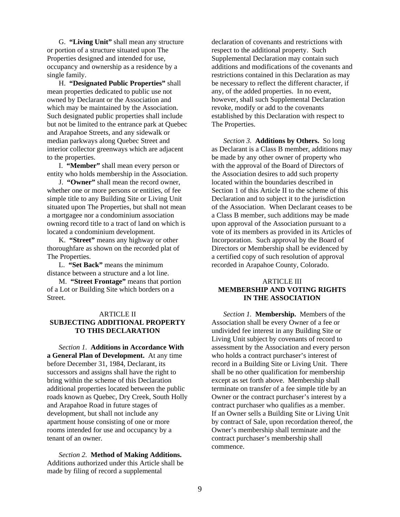G. **"Living Unit"** shall mean any structure or portion of a structure situated upon The Properties designed and intended for use, occupancy and ownership as a residence by a single family.

 H. **"Designated Public Properties"** shall mean properties dedicated to public use not owned by Declarant or the Association and which may be maintained by the Association. Such designated public properties shall include but not be limited to the entrance park at Quebec and Arapahoe Streets, and any sidewalk or median parkways along Quebec Street and interior collector greenways which are adjacent to the properties.

 I. **"Member"** shall mean every person or entity who holds membership in the Association.

 J. **"Owner"** shall mean the record owner, whether one or more persons or entities, of fee simple title to any Building Site or Living Unit situated upon The Properties, but shall not mean a mortgagee nor a condominium association owning record title to a tract of land on which is located a condominium development.

 K. **"Street"** means any highway or other thoroughfare as shown on the recorded plat of The Properties.

 L. **"Set Back"** means the minimum distance between a structure and a lot line.

 M. **"Street Frontage"** means that portion of a Lot or Building Site which borders on a Street.

#### ARTICLE II

#### **SUBJECTING ADDITIONAL PROPERTY TO THIS DECLARATION**

*Section 1.* **Additions in Accordance With a General Plan of Development.** At any time before December 31, 1984, Declarant, its successors and assigns shall have the right to bring within the scheme of this Declaration additional properties located between the public roads known as Quebec, Dry Creek, South Holly and Arapahoe Road in future stages of development, but shall not include any apartment house consisting of one or more rooms intended for use and occupancy by a tenant of an owner.

*Section 2.* **Method of Making Additions.** Additions authorized under this Article shall be made by filing of record a supplemental

declaration of covenants and restrictions with respect to the additional property. Such Supplemental Declaration may contain such additions and modifications of the covenants and restrictions contained in this Declaration as may be necessary to reflect the different character, if any, of the added properties. In no event, however, shall such Supplemental Declaration revoke, modify or add to the covenants established by this Declaration with respect to The Properties.

*Section 3.* **Additions by Others.** So long as Declarant is a Class B member, additions may be made by any other owner of property who with the approval of the Board of Directors of the Association desires to add such property located within the boundaries described in Section 1 of this Article II to the scheme of this Declaration and to subject it to the jurisdiction of the Association. When Declarant ceases to be a Class B member, such additions may be made upon approval of the Association pursuant to a vote of its members as provided in its Articles of Incorporation. Such approval by the Board of Directors or Membership shall be evidenced by a certified copy of such resolution of approval recorded in Arapahoe County, Colorado.

#### ARTICLE III **MEMBERSHIP AND VOTING RIGHTS IN THE ASSOCIATION**

*Section 1.* **Membership.** Members of the Association shall be every Owner of a fee or undivided fee interest in any Building Site or Living Unit subject by covenants of record to assessment by the Association and every person who holds a contract purchaser's interest of record in a Building Site or Living Unit. There shall be no other qualification for membership except as set forth above. Membership shall terminate on transfer of a fee simple title by an Owner or the contract purchaser's interest by a contract purchaser who qualifies as a member. If an Owner sells a Building Site or Living Unit by contract of Sale, upon recordation thereof, the Owner's membership shall terminate and the contract purchaser's membership shall commence.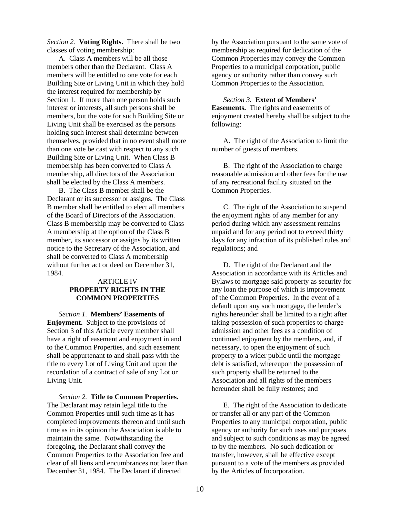*Section 2.* **Voting Rights.** There shall be two classes of voting membership:

 A. Class A members will be all those members other than the Declarant. Class A members will be entitled to one vote for each Building Site or Living Unit in which they hold the interest required for membership by Section 1. If more than one person holds such interest or interests, all such persons shall be members, but the vote for such Building Site or Living Unit shall be exercised as the persons holding such interest shall determine between themselves, provided that in no event shall more than one vote be cast with respect to any such Building Site or Living Unit. When Class B membership has been converted to Class A membership, all directors of the Association shall be elected by the Class A members.

 B. The Class B member shall be the Declarant or its successor or assigns. The Class B member shall be entitled to elect all members of the Board of Directors of the Association. Class B membership may be converted to Class A membership at the option of the Class B member, its successor or assigns by its written notice to the Secretary of the Association, and shall be converted to Class A membership without further act or deed on December 31, 1984.

#### ARTICLE IV **PROPERTY RIGHTS IN THE COMMON PROPERTIES**

*Section 1.* **Members' Easements of Enjoyment.** Subject to the provisions of Section 3 of this Article every member shall have a right of easement and enjoyment in and to the Common Properties, and such easement shall be appurtenant to and shall pass with the title to every Lot of Living Unit and upon the recordation of a contract of sale of any Lot or Living Unit.

*Section 2.* **Title to Common Properties.** The Declarant may retain legal title to the Common Properties until such time as it has completed improvements thereon and until such time as in its opinion the Association is able to maintain the same. Notwithstanding the foregoing, the Declarant shall convey the Common Properties to the Association free and clear of all liens and encumbrances not later than December 31, 1984. The Declarant if directed

by the Association pursuant to the same vote of membership as required for dedication of the Common Properties may convey the Common Properties to a municipal corporation, public agency or authority rather than convey such Common Properties to the Association.

*Section 3.* **Extent of Members' Easements.** The rights and easements of enjoyment created hereby shall be subject to the following:

 A. The right of the Association to limit the number of guests of members.

 B. The right of the Association to charge reasonable admission and other fees for the use of any recreational facility situated on the Common Properties.

 C. The right of the Association to suspend the enjoyment rights of any member for any period during which any assessment remains unpaid and for any period not to exceed thirty days for any infraction of its published rules and regulations; and

 D. The right of the Declarant and the Association in accordance with its Articles and Bylaws to mortgage said property as security for any loan the purpose of which is improvement of the Common Properties. In the event of a default upon any such mortgage, the lender's rights hereunder shall be limited to a right after taking possession of such properties to charge admission and other fees as a condition of continued enjoyment by the members, and, if necessary, to open the enjoyment of such property to a wider public until the mortgage debt is satisfied, whereupon the possession of such property shall be returned to the Association and all rights of the members hereunder shall be fully restores; and

 E. The right of the Association to dedicate or transfer all or any part of the Common Properties to any municipal corporation, public agency or authority for such uses and purposes and subject to such conditions as may be agreed to by the members. No such dedication or transfer, however, shall be effective except pursuant to a vote of the members as provided by the Articles of Incorporation.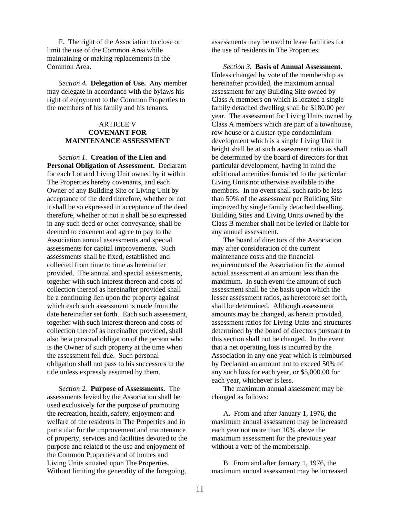F. The right of the Association to close or limit the use of the Common Area while maintaining or making replacements in the Common Area.

*Section 4.* **Delegation of Use.** Any member may delegate in accordance with the bylaws his right of enjoyment to the Common Properties to the members of his family and his tenants.

#### ARTICLE V **COVENANT FOR MAINTENANCE ASSESSMENT**

*Section 1.* **Creation of the Lien and Personal Obligation of Assessment.** Declarant for each Lot and Living Unit owned by it within The Properties hereby covenants, and each Owner of any Building Site or Living Unit by acceptance of the deed therefore, whether or not it shall be so expressed in acceptance of the deed therefore, whether or not it shall be so expressed in any such deed or other conveyance, shall be deemed to covenent and agree to pay to the Association annual assessments and special assessments for capital improvements. Such assessments shall be fixed, established and collected from time to time as hereinafter provided. The annual and special assessments, together with such interest thereon and costs of collection thereof as hereinafter provided shall be a continuing lien upon the property against which each such assessment is made from the date hereinafter set forth. Each such assessment, together with such interest thereon and costs of collection thereof as hereinafter provided, shall also be a personal obligation of the person who is the Owner of such property at the time when the assessment fell due. Such personal obligation shall not pass to his successors in the title unless expressly assumed by them.

*Section 2.* **Purpose of Assessments.** The assessments levied by the Association shall be used exclusively for the purpose of promoting the recreation, health, safety, enjoyment and welfare of the residents in The Properties and in particular for the improvement and maintenance of property, services and facilities devoted to the purpose and related to the use and enjoyment of the Common Properties and of homes and Living Units situated upon The Properties. Without limiting the generality of the foregoing,

assessments may be used to lease facilities for the use of residents in The Properties.

*Section 3.* **Basis of Annual Assessment.** Unless changed by vote of the membership as hereinafter provided, the maximum annual assessment for any Building Site owned by Class A members on which is located a single family detached dwelling shall be \$180.00 per year. The assessment for Living Units owned by Class A members which are part of a townhouse, row house or a cluster-type condominium development which is a single Living Unit in height shall be at such assessment ratio as shall be determined by the board of directors for that particular development, having in mind the additional amenities furnished to the particular Living Units not otherwise available to the members. In no event shall such ratio be less than 50% of the assessment per Building Site improved by single family detached dwelling. Building Sites and Living Units owned by the Class B member shall not be levied or liable for any annual assessment.

 The board of directors of the Association may after consideration of the current maintenance costs and the financial requirements of the Association fix the annual actual assessment at an amount less than the maximum. In such event the amount of such assessment shall be the basis upon which the lesser assessment ratios, as heretofore set forth, shall be determined. Although assessment amounts may be changed, as herein provided, assessment ratios for Living Units and structures determined by the board of directors pursuant to this section shall not be changed. In the event that a net operating loss is incurred by the Association in any one year which is reimbursed by Declarant an amount not to exceed 50% of any such loss for each year, or \$5,000.00 for each year, whichever is less.

 The maximum annual assessment may be changed as follows:

 A. From and after January 1, 1976, the maximum annual assessment may be increased each year not more than 10% above the maximum assessment for the previous year without a vote of the membership.

 B. From and after January 1, 1976, the maximum annual assessment may be increased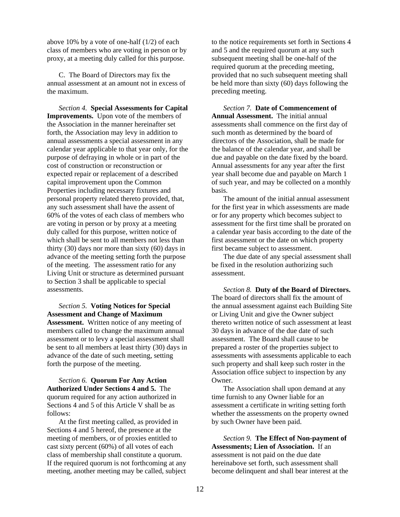above 10% by a vote of one-half (1/2) of each class of members who are voting in person or by proxy, at a meeting duly called for this purpose.

 C. The Board of Directors may fix the annual assessment at an amount not in excess of the maximum.

*Section 4.* **Special Assessments for Capital Improvements.** Upon vote of the members of the Association in the manner hereinafter set forth, the Association may levy in addition to annual assessments a special assessment in any calendar year applicable to that year only, for the purpose of defraying in whole or in part of the cost of construction or reconstruction or expected repair or replacement of a described capital improvement upon the Common Properties including necessary fixtures and personal property related thereto provided, that, any such assessment shall have the assent of 60% of the votes of each class of members who are voting in person or by proxy at a meeting duly called for this purpose, written notice of which shall be sent to all members not less than thirty (30) days nor more than sixty (60) days in advance of the meeting setting forth the purpose of the meeting. The assessment ratio for any Living Unit or structure as determined pursuant to Section 3 shall be applicable to special assessments.

*Section 5.* **Voting Notices for Special Assessment and Change of Maximum Assessment.** Written notice of any meeting of members called to change the maximum annual assessment or to levy a special assessment shall be sent to all members at least thirty (30) days in advance of the date of such meeting, setting forth the purpose of the meeting.

*Section 6.* **Quorum For Any Action Authorized Under Sections 4 and 5.** The quorum required for any action authorized in Sections 4 and 5 of this Article V shall be as follows:

 At the first meeting called, as provided in Sections 4 and 5 hereof, the presence at the meeting of members, or of proxies entitled to cast sixty percent (60%) of all votes of each class of membership shall constitute a quorum. If the required quorum is not forthcoming at any meeting, another meeting may be called, subject

to the notice requirements set forth in Sections 4 and 5 and the required quorum at any such subsequent meeting shall be one-half of the required quorum at the preceding meeting, provided that no such subsequent meeting shall be held more than sixty (60) days following the preceding meeting.

*Section 7.* **Date of Commencement of Annual Assessment.** The initial annual assessments shall commence on the first day of such month as determined by the board of directors of the Association, shall be made for the balance of the calendar year, and shall be due and payable on the date fixed by the board. Annual assessments for any year after the first year shall become due and payable on March 1 of such year, and may be collected on a monthly basis.

 The amount of the initial annual assessment for the first year in which assessments are made or for any property which becomes subject to assessment for the first time shall be prorated on a calendar year basis according to the date of the first assessment or the date on which property first became subject to assessment.

 The due date of any special assessment shall be fixed in the resolution authorizing such assessment.

*Section 8.* **Duty of the Board of Directors.** The board of directors shall fix the amount of the annual assessment against each Building Site or Living Unit and give the Owner subject thereto written notice of such assessment at least 30 days in advance of the due date of such assessment. The Board shall cause to be prepared a roster of the properties subject to assessments with assessments applicable to each such property and shall keep such roster in the Association office subject to inspection by any Owner.

 The Association shall upon demand at any time furnish to any Owner liable for an assessment a certificate in writing setting forth whether the assessments on the property owned by such Owner have been paid.

*Section 9.* **The Effect of Non-payment of Assessments; Lien of Association.** If an assessment is not paid on the due date hereinabove set forth, such assessment shall become delinquent and shall bear interest at the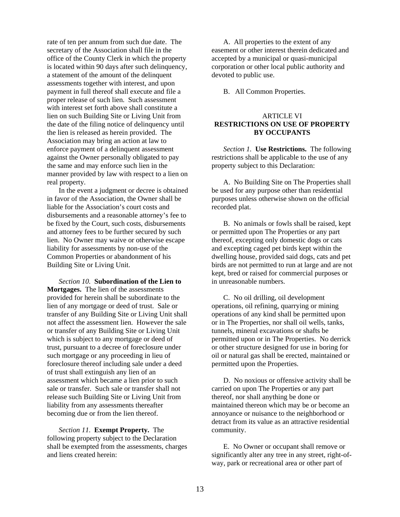rate of ten per annum from such due date. The secretary of the Association shall file in the office of the County Clerk in which the property is located within 90 days after such delinquency, a statement of the amount of the delinquent assessments together with interest, and upon payment in full thereof shall execute and file a proper release of such lien. Such assessment with interest set forth above shall constitute a lien on such Building Site or Living Unit from the date of the filing notice of delinquency until the lien is released as herein provided. The Association may bring an action at law to enforce payment of a delinquent assessment against the Owner personally obligated to pay the same and may enforce such lien in the manner provided by law with respect to a lien on real property.

 In the event a judgment or decree is obtained in favor of the Association, the Owner shall be liable for the Association's court costs and disbursements and a reasonable attorney's fee to be fixed by the Court, such costs, disbursements and attorney fees to be further secured by such lien. No Owner may waive or otherwise escape liability for assessments by non-use of the Common Properties or abandonment of his Building Site or Living Unit.

*Section 10.* **Subordination of the Lien to Mortgages.** The lien of the assessments provided for herein shall be subordinate to the lien of any mortgage or deed of trust. Sale or transfer of any Building Site or Living Unit shall not affect the assessment lien. However the sale or transfer of any Building Site or Living Unit which is subject to any mortgage or deed of trust, pursuant to a decree of foreclosure under such mortgage or any proceeding in lieu of foreclosure thereof including sale under a deed of trust shall extinguish any lien of an assessment which became a lien prior to such sale or transfer. Such sale or transfer shall not release such Building Site or Living Unit from liability from any assessments thereafter becoming due or from the lien thereof.

*Section 11.* **Exempt Property.** The following property subject to the Declaration shall be exempted from the assessments, charges and liens created herein:

 A. All properties to the extent of any easement or other interest therein dedicated and accepted by a municipal or quasi-municipal corporation or other local public authority and devoted to public use.

B. All Common Properties.

#### ARTICLE VI **RESTRICTIONS ON USE OF PROPERTY BY OCCUPANTS**

*Section 1.* **Use Restrictions.** The following restrictions shall be applicable to the use of any property subject to this Declaration:

 A. No Building Site on The Properties shall be used for any purpose other than residential purposes unless otherwise shown on the official recorded plat.

 B. No animals or fowls shall be raised, kept or permitted upon The Properties or any part thereof, excepting only domestic dogs or cats and excepting caged pet birds kept within the dwelling house, provided said dogs, cats and pet birds are not permitted to run at large and are not kept, bred or raised for commercial purposes or in unreasonable numbers.

 C. No oil drilling, oil development operations, oil refining, quarrying or mining operations of any kind shall be permitted upon or in The Properties, nor shall oil wells, tanks, tunnels, mineral excavations or shafts be permitted upon or in The Properties. No derrick or other structure designed for use in boring for oil or natural gas shall be erected, maintained or permitted upon the Properties.

 D. No noxious or offensive activity shall be carried on upon The Properties or any part thereof, nor shall anything be done or maintained thereon which may be or become an annoyance or nuisance to the neighborhood or detract from its value as an attractive residential community.

 E. No Owner or occupant shall remove or significantly alter any tree in any street, right-ofway, park or recreational area or other part of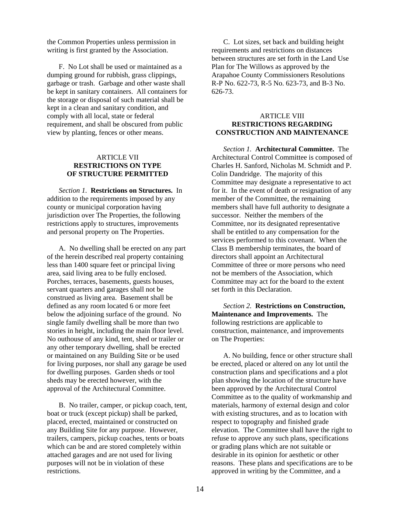the Common Properties unless permission in writing is first granted by the Association.

 F. No Lot shall be used or maintained as a dumping ground for rubbish, grass clippings, garbage or trash. Garbage and other waste shall be kept in sanitary containers. All containers for the storage or disposal of such material shall be kept in a clean and sanitary condition, and comply with all local, state or federal requirement, and shall be obscured from public view by planting, fences or other means.

#### **ARTICLE VII RESTRICTIONS ON TYPE OF STRUCTURE PERMITTED**

*Section 1.* **Restrictions on Structures.** In addition to the requirements imposed by any county or municipal corporation having jurisdiction over The Properties, the following restrictions apply to structures, improvements and personal property on The Properties.

 A. No dwelling shall be erected on any part of the herein described real property containing less than 1400 square feet or principal living area, said living area to be fully enclosed. Porches, terraces, basements, guests houses, servant quarters and garages shall not be construed as living area. Basement shall be defined as any room located 6 or more feet below the adjoining surface of the ground. No single family dwelling shall be more than two stories in height, including the main floor level. No outhouse of any kind, tent, shed or trailer or any other temporary dwelling, shall be erected or maintained on any Building Site or be used for living purposes, nor shall any garage be used for dwelling purposes. Garden sheds or tool sheds may be erected however, with the approval of the Architectural Committee.

 B. No trailer, camper, or pickup coach, tent, boat or truck (except pickup) shall be parked, placed, erected, maintained or constructed on any Building Site for any purpose. However, trailers, campers, pickup coaches, tents or boats which can be and are stored completely within attached garages and are not used for living purposes will not be in violation of these restrictions.

 C. Lot sizes, set back and building height requirements and restrictions on distances between structures are set forth in the Land Use Plan for The Willows as approved by the Arapahoe County Commissioners Resolutions R-P No. 622-73, R-5 No. 623-73, and B-3 No. 626-73.

#### ARTICLE VIII **RESTRICTIONS REGARDING CONSTRUCTION AND MAINTENANCE**

*Section 1.* **Architectural Committee.** The Architectural Control Committee is composed of Charles H. Sanford, Nicholas M. Schmidt and P. Colin Dandridge. The majority of this Committee may designate a representative to act for it. In the event of death or resignation of any member of the Committee, the remaining members shall have full authority to designate a successor. Neither the members of the Committee, nor its designated representative shall be entitled to any compensation for the services performed to this covenant. When the Class B membership terminates, the board of directors shall appoint an Architectural Committee of three or more persons who need not be members of the Association, which Committee may act for the board to the extent set forth in this Declaration.

*Section 2.* **Restrictions on Construction, Maintenance and Improvements.** The following restrictions are applicable to construction, maintenance, and improvements on The Properties:

 A. No building, fence or other structure shall be erected, placed or altered on any lot until the construction plans and specifications and a plot plan showing the location of the structure have been approved by the Architectural Control Committee as to the quality of workmanship and materials, harmony of external design and color with existing structures, and as to location with respect to topography and finished grade elevation. The Committee shall have the right to refuse to approve any such plans, specifications or grading plans which are not suitable or desirable in its opinion for aesthetic or other reasons. These plans and specifications are to be approved in writing by the Committee, and a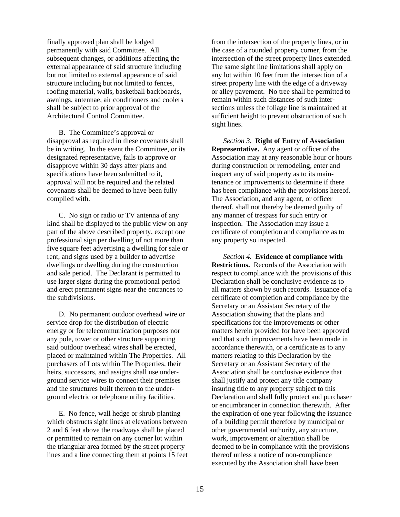finally approved plan shall be lodged permanently with said Committee. All subsequent changes, or additions affecting the external appearance of said structure including but not limited to external appearance of said structure including but not limited to fences, roofing material, walls, basketball backboards, awnings, antennae, air conditioners and coolers shall be subject to prior approval of the Architectural Control Committee.

 B. The Committee's approval or disapproval as required in these covenants shall be in writing. In the event the Committee, or its designated representative, fails to approve or disapprove within 30 days after plans and specifications have been submitted to it, approval will not be required and the related covenants shall be deemed to have been fully complied with.

 C. No sign or radio or TV antenna of any kind shall be displayed to the public view on any part of the above described property, except one professional sign per dwelling of not more than five square feet advertising a dwelling for sale or rent, and signs used by a builder to advertise dwellings or dwelling during the construction and sale period. The Declarant is permitted to use larger signs during the promotional period and erect permanent signs near the entrances to the subdivisions.

 D. No permanent outdoor overhead wire or service drop for the distribution of electric energy or for telecommunication purposes nor any pole, tower or other structure supporting said outdoor overhead wires shall be erected, placed or maintained within The Properties. All purchasers of Lots within The Properties, their heirs, successors, and assigns shall use underground service wires to connect their premises and the structures built thereon to the underground electric or telephone utility facilities.

 E. No fence, wall hedge or shrub planting which obstructs sight lines at elevations between 2 and 6 feet above the roadways shall be placed or permitted to remain on any corner lot within the triangular area formed by the street property lines and a line connecting them at points 15 feet

from the intersection of the property lines, or in the case of a rounded property corner, from the intersection of the street property lines extended. The same sight line limitations shall apply on any lot within 10 feet from the intersection of a street property line with the edge of a driveway or alley pavement. No tree shall be permitted to remain within such distances of such intersections unless the foliage line is maintained at sufficient height to prevent obstruction of such sight lines.

*Section 3.* **Right of Entry of Association Representative.** Any agent or officer of the Association may at any reasonable hour or hours during construction or remodeling, enter and inspect any of said property as to its maintenance or improvements to determine if there has been compliance with the provisions hereof. The Association, and any agent, or officer thereof, shall not thereby be deemed guilty of any manner of trespass for such entry or inspection. The Association may issue a certificate of completion and compliance as to any property so inspected.

*Section 4.* **Evidence of compliance with Restrictions.** Records of the Association with respect to compliance with the provisions of this Declaration shall be conclusive evidence as to all matters shown by such records. Issuance of a certificate of completion and compliance by the Secretary or an Assistant Secretary of the Association showing that the plans and specifications for the improvements or other matters herein provided for have been approved and that such improvements have been made in accordance therewith, or a certificate as to any matters relating to this Declaration by the Secretary or an Assistant Secretary of the Association shall be conclusive evidence that shall justify and protect any title company insuring title to any property subject to this Declaration and shall fully protect and purchaser or encumbrancer in connection therewith. After the expiration of one year following the issuance of a building permit therefore by municipal or other governmental authority, any structure, work, improvement or alteration shall be deemed to be in compliance with the provisions thereof unless a notice of non-compliance executed by the Association shall have been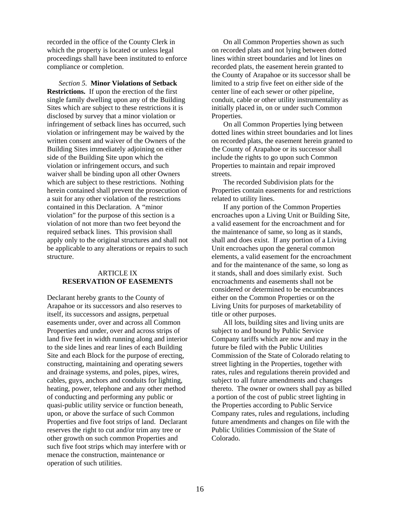recorded in the office of the County Clerk in which the property is located or unless legal proceedings shall have been instituted to enforce compliance or completion.

*Section 5.* **Minor Violations of Setback Restrictions.** If upon the erection of the first single family dwelling upon any of the Building Sites which are subject to these restrictions it is disclosed by survey that a minor violation or infringement of setback lines has occurred, such violation or infringement may be waived by the written consent and waiver of the Owners of the Building Sites immediately adjoining on either side of the Building Site upon which the violation or infringement occurs, and such waiver shall be binding upon all other Owners which are subject to these restrictions. Nothing herein contained shall prevent the prosecution of a suit for any other violation of the restrictions contained in this Declaration. A "minor violation" for the purpose of this section is a violation of not more than two feet beyond the required setback lines. This provision shall apply only to the original structures and shall not be applicable to any alterations or repairs to such structure.

#### ARTICLE IX **RESERVATION OF EASEMENTS**

Declarant hereby grants to the County of Arapahoe or its successors and also reserves to itself, its successors and assigns, perpetual easements under, over and across all Common Properties and under, over and across strips of land five feet in width running along and interior to the side lines and rear lines of each Building Site and each Block for the purpose of erecting, constructing, maintaining and operating sewers and drainage systems, and poles, pipes, wires, cables, guys, anchors and conduits for lighting, heating, power, telephone and any other method of conducting and performing any public or quasi-public utility service or function beneath, upon, or above the surface of such Common Properties and five foot strips of land. Declarant reserves the right to cut and/or trim any tree or other growth on such common Properties and such five foot strips which may interfere with or menace the construction, maintenance or operation of such utilities.

 On all Common Properties shown as such on recorded plats and not lying between dotted lines within street boundaries and lot lines on recorded plats, the easement herein granted to the County of Arapahoe or its successor shall be limited to a strip five feet on either side of the center line of each sewer or other pipeline, conduit, cable or other utility instrumentality as initially placed in, on or under such Common Properties.

 On all Common Properties lying between dotted lines within street boundaries and lot lines on recorded plats, the easement herein granted to the County of Arapahoe or its successor shall include the rights to go upon such Common Properties to maintain and repair improved streets.

 The recorded Subdivision plats for the Properties contain easements for and restrictions related to utility lines.

 If any portion of the Common Properties encroaches upon a Living Unit or Building Site, a valid easement for the encroachment and for the maintenance of same, so long as it stands, shall and does exist. If any portion of a Living Unit encroaches upon the general common elements, a valid easement for the encroachment and for the maintenance of the same, so long as it stands, shall and does similarly exist. Such encroachments and easements shall not be considered or determined to be encumbrances either on the Common Properties or on the Living Units for purposes of marketability of title or other purposes.

 All lots, building sites and living units are subject to and bound by Public Service Company tariffs which are now and may in the future be filed with the Public Utilities Commission of the State of Colorado relating to street lighting in the Properties, together with rates, rules and regulations therein provided and subject to all future amendments and changes thereto. The owner or owners shall pay as billed a portion of the cost of public street lighting in the Properties according to Public Service Company rates, rules and regulations, including future amendments and changes on file with the Public Utilities Commission of the State of Colorado.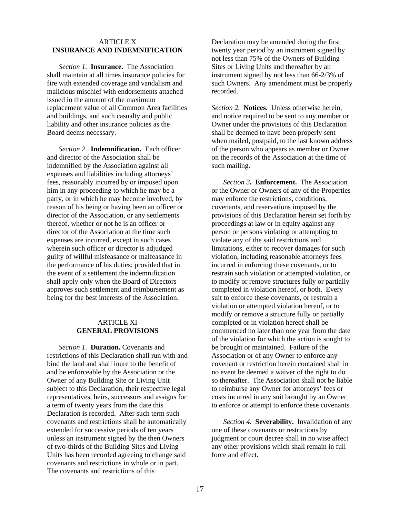#### ARTICLE X **INSURANCE AND INDEMNIFICATION**

*Section 1.* **Insurance.** The Association shall maintain at all times insurance policies for fire with extended coverage and vandalism and malicious mischief with endorsements attached issued in the amount of the maximum replacement value of all Common Area facilities and buildings, and such casualty and public liability and other insurance policies as the Board deems necessary.

*Section 2.* **Indemnification.** Each officer and director of the Association shall be indemnified by the Association against all expenses and liabilities including attorneys' fees, reasonably incurred by or imposed upon him in any proceeding to which he may be a party, or in which he may become involved, by reason of his being or having been an officer or director of the Association, or any settlements thereof, whether or not he is an officer or director of the Association at the time such expenses are incurred, except in such cases wherein such officer or director is adjudged guilty of willful misfeasance or malfeasance in the performance of his duties; provided that in the event of a settlement the indemnification shall apply only when the Board of Directors approves such settlement and reimbursement as being for the best interests of the Association.

#### ARTICLE XI **GENERAL PROVISIONS**

*Section 1.* **Duration.** Covenants and restrictions of this Declaration shall run with and bind the land and shall inure to the benefit of and be enforceable by the Association or the Owner of any Building Site or Living Unit subject to this Declaration, their respective legal representatives, heirs, successors and assigns for a term of twenty years from the date this Declaration is recorded. After such term such covenants and restrictions shall be automatically extended for successive periods of ten years unless an instrument signed by the then Owners of two-thirds of the Building Sites and Living Units has been recorded agreeing to change said covenants and restrictions in whole or in part. The covenants and restrictions of this

Declaration may be amended during the first twenty year period by an instrument signed by not less than 75% of the Owners of Building Sites or Living Units and thereafter by an instrument signed by not less than 66-2/3% of such Owners. Any amendment must be properly recorded.

*Section 2.* **Notices.** Unless otherwise herein, and notice required to be sent to any member or Owner under the provisions of this Declaration shall be deemed to have been properly sent when mailed, postpaid, to the last known address of the person who appears as member or Owner on the records of the Association at the time of such mailing.

*Section 3.* **Enforcement.** The Association or the Owner or Owners of any of the Properties may enforce the restrictions, conditions, covenants, and reservations imposed by the provisions of this Declaration herein set forth by proceedings at law or in equity against any person or persons violating or attempting to violate any of the said restrictions and limitations, either to recover damages for such violation, including reasonable attorneys fees incurred in enforcing these covenants, or to restrain such violation or attempted violation, or to modify or remove structures fully or partially completed in violation hereof, or both. Every suit to enforce these covenants, or restrain a violation or attempted violation hereof, or to modify or remove a structure fully or partially completed or in violation hereof shall be commenced no later than one year from the date of the violation for which the action is sought to be brought or maintained. Failure of the Association or of any Owner to enforce any covenant or restriction herein contained shall in no event be deemed a waiver of the right to do so thereafter. The Association shall not be liable to reimburse any Owner for attorneys' fees or costs incurred in any suit brought by an Owner to enforce or attempt to enforce these covenants.

*Section 4.* **Severability.** Invalidation of any one of these covenants or restrictions by judgment or court decree shall in no wise affect any other provisions which shall remain in full force and effect.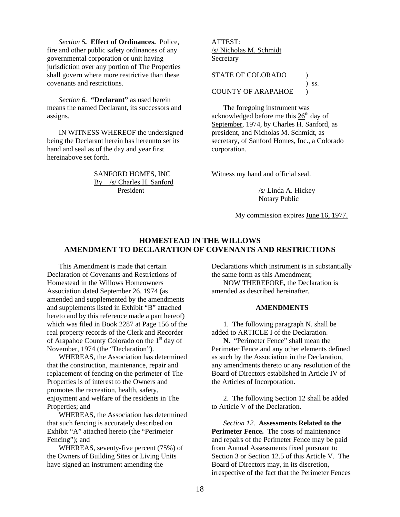*Section 5.* **Effect of Ordinances.** Police, fire and other public safety ordinances of any governmental corporation or unit having jurisdiction over any portion of The Properties shall govern where more restrictive than these covenants and restrictions.

*Section 6.* **"Declarant"** as used herein means the named Declarant, its successors and assigns.

 IN WITNESS WHEREOF the undersigned being the Declarant herein has hereunto set its hand and seal as of the day and year first hereinabove set forth.

> SANFORD HOMES, INC By /s/ Charles H. Sanford President

#### ATTEST: /s/ Nicholas M. Schmidt Secretary

STATE OF COLORADO ) ) ss. COUNTY OF ARAPAHOE )

 The foregoing instrument was acknowledged before me this  $26<sup>th</sup>$  day of September, 1974, by Charles H. Sanford, as president, and Nicholas M. Schmidt, as secretary, of Sanford Homes, Inc., a Colorado corporation.

Witness my hand and official seal.

 /s/ Linda A. Hickey Notary Public

My commission expires June 16, 1977.

### **HOMESTEAD IN THE WILLOWS AMENDMENT TO DECLARATION OF COVENANTS AND RESTRICTIONS**

 This Amendment is made that certain Declaration of Covenants and Restrictions of Homestead in the Willows Homeowners Association dated September 26, 1974 (as amended and supplemented by the amendments and supplements listed in Exhibit "B" attached hereto and by this reference made a part hereof) which was filed in Book 2287 at Page 156 of the real property records of the Clerk and Recorder of Arapahoe County Colorado on the 1<sup>st</sup> day of November, 1974 (the "Declaration").

 WHEREAS, the Association has determined that the construction, maintenance, repair and replacement of fencing on the perimeter of The Properties is of interest to the Owners and promotes the recreation, health, safety, enjoyment and welfare of the residents in The Properties; and

 WHEREAS, the Association has determined that such fencing is accurately described on Exhibit "A" attached hereto (the "Perimeter Fencing"); and

 WHEREAS, seventy-five percent (75%) of the Owners of Building Sites or Living Units have signed an instrument amending the

Declarations which instrument is in substantially the same form as this Amendment;

 NOW THEREFORE, the Declaration is amended as described hereinafter.

#### **AMENDMENTS**

 1. The following paragraph N. shall be added to ARTICLE I of the Declaration.

**N.** "Perimeter Fence" shall mean the Perimeter Fence and any other elements defined as such by the Association in the Declaration, any amendments thereto or any resolution of the Board of Directors established in Article IV of the Articles of Incorporation.

 2. The following Section 12 shall be added to Article V of the Declaration.

*Section 12.* **Assessments Related to the Perimeter Fence.** The costs of maintenance and repairs of the Perimeter Fence may be paid from Annual Assessments fixed pursuant to Section 3 or Section 12.5 of this Article V. The Board of Directors may, in its discretion, irrespective of the fact that the Perimeter Fences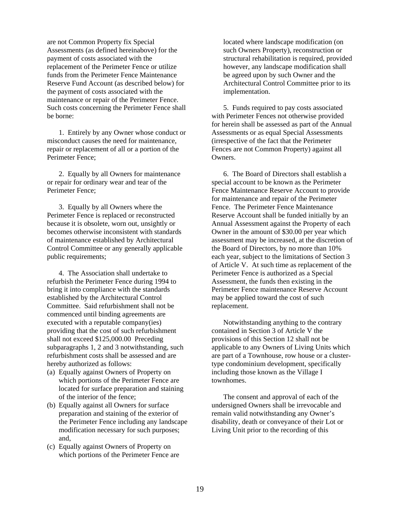are not Common Property fix Special Assessments (as defined hereinabove) for the payment of costs associated with the replacement of the Perimeter Fence or utilize funds from the Perimeter Fence Maintenance Reserve Fund Account (as described below) for the payment of costs associated with the maintenance or repair of the Perimeter Fence. Such costs concerning the Perimeter Fence shall be borne:

 1. Entirely by any Owner whose conduct or misconduct causes the need for maintenance, repair or replacement of all or a portion of the Perimeter Fence;

 2. Equally by all Owners for maintenance or repair for ordinary wear and tear of the Perimeter Fence;

 3. Equally by all Owners where the Perimeter Fence is replaced or reconstructed because it is obsolete, worn out, unsightly or becomes otherwise inconsistent with standards of maintenance established by Architectural Control Committee or any generally applicable public requirements;

 4. The Association shall undertake to refurbish the Perimeter Fence during 1994 to bring it into compliance with the standards established by the Architectural Control Committee. Said refurbishment shall not be commenced until binding agreements are executed with a reputable company(ies) providing that the cost of such refurbishment shall not exceed \$125,000.00 Preceding subparagraphs 1, 2 and 3 notwithstanding, such refurbishment costs shall be assessed and are hereby authorized as follows:

- (a) Equally against Owners of Property on which portions of the Perimeter Fence are located for surface preparation and staining of the interior of the fence;
- (b) Equally against all Owners for surface preparation and staining of the exterior of the Perimeter Fence including any landscape modification necessary for such purposes; and,
- (c) Equally against Owners of Property on which portions of the Perimeter Fence are

located where landscape modification (on such Owners Property), reconstruction or structural rehabilitation is required, provided however, any landscape modification shall be agreed upon by such Owner and the Architectural Control Committee prior to its implementation.

 5. Funds required to pay costs associated with Perimeter Fences not otherwise provided for herein shall be assessed as part of the Annual Assessments or as equal Special Assessments (irrespective of the fact that the Perimeter Fences are not Common Property) against all **Owners** 

 6. The Board of Directors shall establish a special account to be known as the Perimeter Fence Maintenance Reserve Account to provide for maintenance and repair of the Perimeter Fence. The Perimeter Fence Maintenance Reserve Account shall be funded initially by an Annual Assessment against the Property of each Owner in the amount of \$30.00 per year which assessment may be increased, at the discretion of the Board of Directors, by no more than 10% each year, subject to the limitations of Section 3 of Article V. At such time as replacement of the Perimeter Fence is authorized as a Special Assessment, the funds then existing in the Perimeter Fence maintenance Reserve Account may be applied toward the cost of such replacement.

 Notwithstanding anything to the contrary contained in Section 3 of Article V the provisions of this Section 12 shall not be applicable to any Owners of Living Units which are part of a Townhouse, row house or a clustertype condominium development, specifically including those known as the Village I townhomes.

 The consent and approval of each of the undersigned Owners shall be irrevocable and remain valid notwithstanding any Owner's disability, death or conveyance of their Lot or Living Unit prior to the recording of this